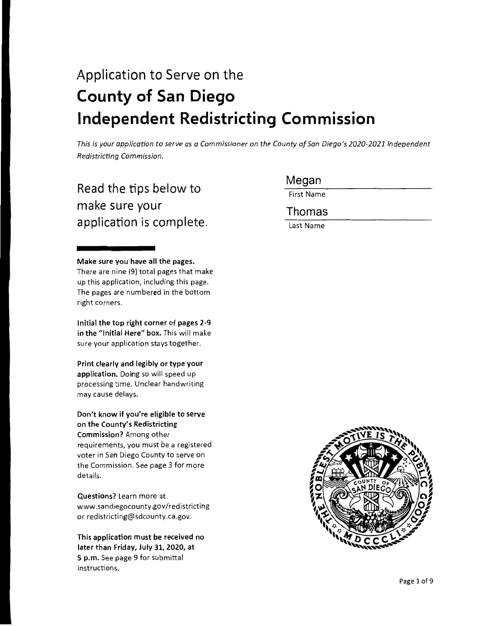# Application to Serve on the **County of San Diego Independent Redistricting Commission**

*This is your application to serve as a Commissioner on the County of San Diego's 2020-2021 Independent Redistricting Commission.* 

## Read the tips below to make sure your application is complete.

**Make sure you have all the pages.**  There are nine (9) total pages that make up this application, including this page. The pages are numbered in the bottom right corners.

**Initial the top right corner of pages 2-9**  in the "Initial Here" box. This will make sure your application stays together.

**Print clearly and legibly or type your**  application. Doing so will speed up processing time. Unclear handwriting may cause delays.

**Don't know if you're eligible to serve on the County's Redistricting Commission?** Among other requirements, you must be a registered voter in San Diego County to serve on the Commission. See page 3 for more details.

**Questions?** Learn more at www .sand iegocounty.gov /redistricting or redistricting@sdcounty.ca.gov.

**This application must be received no later than Friday, July 31, 2020, at 5 p.m.** See page 9 for submittal instructions.

Megan

First Name

Thomas

Last Name

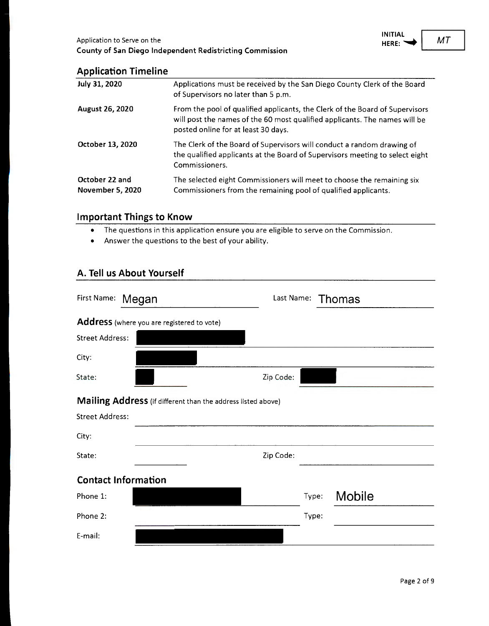### **Application Timeline**

| July 31, 2020                             | Applications must be received by the San Diego County Clerk of the Board<br>of Supervisors no later than 5 p.m.                                                                                   |
|-------------------------------------------|---------------------------------------------------------------------------------------------------------------------------------------------------------------------------------------------------|
| <b>August 26, 2020</b>                    | From the pool of qualified applicants, the Clerk of the Board of Supervisors<br>will post the names of the 60 most qualified applicants. The names will be<br>posted online for at least 30 days. |
| October 13, 2020                          | The Clerk of the Board of Supervisors will conduct a random drawing of<br>the qualified applicants at the Board of Supervisors meeting to select eight<br>Commissioners.                          |
| October 22 and<br><b>November 5, 2020</b> | The selected eight Commissioners will meet to choose the remaining six<br>Commissioners from the remaining pool of qualified applicants.                                                          |

#### **Important Things to Know**

- The questions in this application ensure you are eligible to serve on the Commission.
- Answer the questions to the best of your ability.

#### **A. Tell us About Yourself**

| First Name:            | Megan                                                        | Last Name: |       | Thomas        |  |
|------------------------|--------------------------------------------------------------|------------|-------|---------------|--|
|                        | Address (where you are registered to vote)                   |            |       |               |  |
| <b>Street Address:</b> |                                                              |            |       |               |  |
| City:                  |                                                              |            |       |               |  |
| State:                 |                                                              | Zip Code:  |       |               |  |
|                        | Mailing Address (if different than the address listed above) |            |       |               |  |
| <b>Street Address:</b> |                                                              |            |       |               |  |
| City:                  |                                                              |            |       |               |  |
| State:                 |                                                              | Zip Code:  |       |               |  |
|                        | <b>Contact Information</b>                                   |            |       |               |  |
| Phone 1:               |                                                              |            | Type: | <b>Mobile</b> |  |
| Phone 2:               |                                                              |            | Type: |               |  |
| E-mail:                |                                                              |            |       |               |  |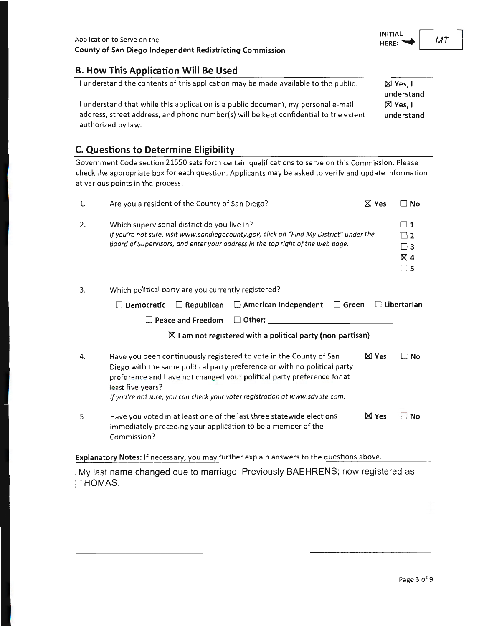#### **B. How This Application Will Be Used**

| I understand the contents of this application may be made available to the public.   | $\boxtimes$ Yes, I |
|--------------------------------------------------------------------------------------|--------------------|
|                                                                                      | understand         |
| I understand that while this application is a public document, my personal e-mail    | $\boxtimes$ Yes. I |
| address, street address, and phone number(s) will be kept confidential to the extent | understand         |
| authorized by law.                                                                   |                    |

#### **C. Questions to Determine Eligibility**

Government Code section 21550 sets forth certain qualifications to serve on this Commission. Please check the appropriate box for each question. Applicants may be asked to verify and update information at various points in the process.

| 1.      | Are you a resident of the County of San Diego?                                                                                                                                                                                                                                                                                 | <b>X</b> Yes    | □ No                                                               |
|---------|--------------------------------------------------------------------------------------------------------------------------------------------------------------------------------------------------------------------------------------------------------------------------------------------------------------------------------|-----------------|--------------------------------------------------------------------|
| 2.      | Which supervisorial district do you live in?<br>If you're not sure, visit www.sandiegocounty.gov, click on "Find My District" under the<br>Board of Supervisors, and enter your address in the top right of the web page.                                                                                                      |                 | $\Box$ 1<br>$\sqsupset$ 2<br>$\Box$ 3<br>$\boxtimes$ 4<br>$\Box$ 5 |
| 3.      | Which political party are you currently registered?                                                                                                                                                                                                                                                                            |                 |                                                                    |
|         | $\Box$ American Independent<br>$\Box$ Democratic<br>$\Box$ Republican<br>$\Box$ Green                                                                                                                                                                                                                                          |                 | $\Box$ Libertarian                                                 |
|         | $\Box$ Other:<br><b>Peace and Freedom</b>                                                                                                                                                                                                                                                                                      |                 |                                                                    |
|         | $\boxtimes$ I am not registered with a political party (non-partisan)                                                                                                                                                                                                                                                          |                 |                                                                    |
| 4.      | Have you been continuously registered to vote in the County of San<br>Diego with the same political party preference or with no political party<br>preference and have not changed your political party preference for at<br>least five years?<br>If you're not sure, you can check your voter registration at www.sdvote.com. | $\boxtimes$ Yes | ∃ No                                                               |
| 5.      | Have you voted in at least one of the last three statewide elections<br>immediately preceding your application to be a member of the<br>Commission?                                                                                                                                                                            | <b>区 Yes</b>    | ∃ No                                                               |
|         | Explanatory Notes: If necessary, you may further explain answers to the questions above.                                                                                                                                                                                                                                       |                 |                                                                    |
| THOMAS. | My last name changed due to marriage. Previously BAEHRENS; now registered as                                                                                                                                                                                                                                                   |                 |                                                                    |

 $MT$ 

**INITIAL**<br>HERE: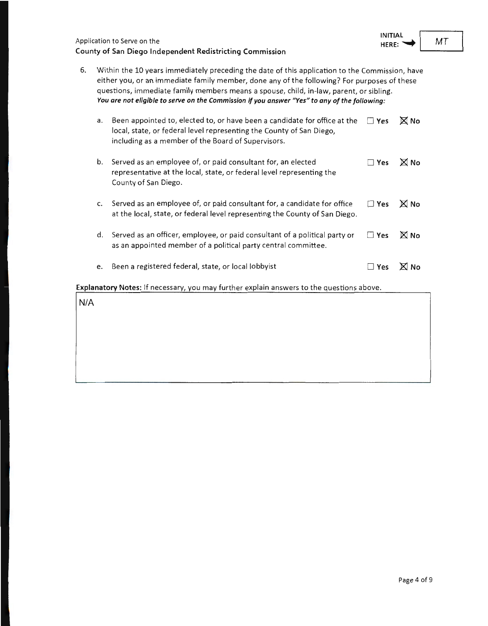| Application to Serve on the                              |
|----------------------------------------------------------|
| County of San Diego Independent Redistricting Commission |

| 6. | Within the 10 years immediately preceding the date of this application to the Commission, have<br>either you, or an immediate family member, done any of the following? For purposes of these<br>questions, immediate family members means a spouse, child, in-law, parent, or sibling.<br>You are not eligible to serve on the Commission if you answer "Yes" to any of the following: |                                                                                                                                                                                                         |               |             |
|----|-----------------------------------------------------------------------------------------------------------------------------------------------------------------------------------------------------------------------------------------------------------------------------------------------------------------------------------------------------------------------------------------|---------------------------------------------------------------------------------------------------------------------------------------------------------------------------------------------------------|---------------|-------------|
|    | a.                                                                                                                                                                                                                                                                                                                                                                                      | Been appointed to, elected to, or have been a candidate for office at the<br>local, state, or federal level representing the County of San Diego,<br>including as a member of the Board of Supervisors. | $\Box$ Yes    | <b>X</b> No |
|    | b.                                                                                                                                                                                                                                                                                                                                                                                      | Served as an employee of, or paid consultant for, an elected<br>representative at the local, state, or federal level representing the<br>County of San Diego.                                           | $\square$ Yes | <b>X</b> No |
|    | c.                                                                                                                                                                                                                                                                                                                                                                                      | Served as an employee of, or paid consultant for, a candidate for office<br>at the local, state, or federal level representing the County of San Diego.                                                 | $\Box$ Yes    | <b>X</b> No |
|    | d.                                                                                                                                                                                                                                                                                                                                                                                      | Served as an officer, employee, or paid consultant of a political party or<br>as an appointed member of a political party central committee.                                                            | $\square$ Yes | <b>X</b> No |
|    | e.                                                                                                                                                                                                                                                                                                                                                                                      | Been a registered federal, state, or local lobbyist                                                                                                                                                     | Yes           | No          |

**Explanatory Notes:** If necessary, you may further explain answers to the questions above.

N/A

L

*MT* 

**INITIAL**  HERE: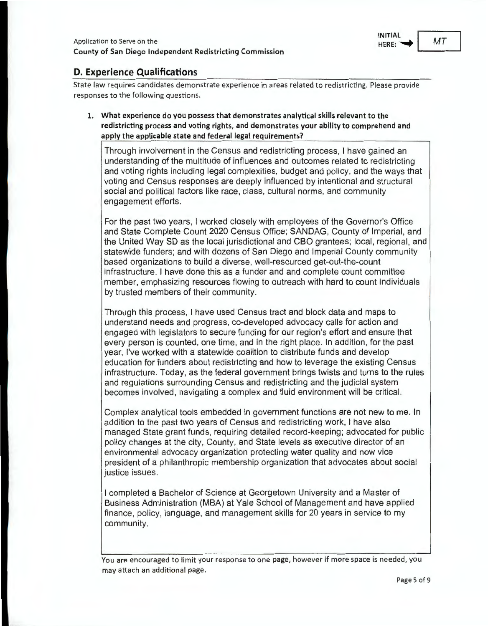

#### **D. Experience Qualifications**

State law requires candidates demonstrate experience in areas related to redistricting. Please provide responses to the following questions.

**1. What experience do you possess that demonstrates analytical skills relevant to the redistricting process and voting rights, and demonstrates your ability to comprehend and apply the applicable state and federal legal requirements?** 

Through involvement in the Census and redistricting process, I have gained an understanding of the multitude of influences and outcomes related to redistricting and voting rights including legal complexities, budget and policy, and the ways that voting and Census responses are deeply influenced by intentional and structural social and political factors like race, class, cultural norms, and community engagement efforts.

For the past two years, I worked closely with employees of the Governor's Office and State Complete Count 2020 Census Office; SANDAG, County of Imperial, and the United Way SD as the local jurisdictional and CBO grantees; local, regional, and statewide funders; and with dozens of San Diego and Imperial County community based organizations to build a diverse, well-resourced get-out-the-count infrastructure. I have done this as a funder and and complete count committee member, emphasizing resources flowing to outreach with hard to count individuals by trusted members of their community.

Through this process, I have used Census tract and block data and maps to understand needs and progress, co-developed advocacy calls for action and engaged with legislators to secure funding for our region's effort and ensure that every person is counted, one time, and in the right place. In addition, for the past year, I've worked with a statewide coalition to distribute funds and develop education for funders about redistricting and how to leverage the existing Census infrastructure. Today, as the federal government brings twists and turns to the rules and regulations surrounding Census and redistricting and the judicial system becomes involved, navigating a complex and fluid environment will be critical.

Complex analytical tools embedded in government functions are not new to me. In addition to the past two years of Census and redistricting work, I have also managed State grant funds, requiring detailed record-keeping; advocated for public policy changes at the city, County, and State levels as executive director of an environmental advocacy organization protecting water quality and now vice president of a philanthropic membership organization that advocates about social justice issues.

I completed a Bachelor of Science at Georgetown University and a Master of Business Administration (MBA) at Yale School of Management and have applied finance, policy, language, and management skills for 20 years in service to my community.

You are encouraged to limit your response to one page, however if more space is needed, you may attach an additional page.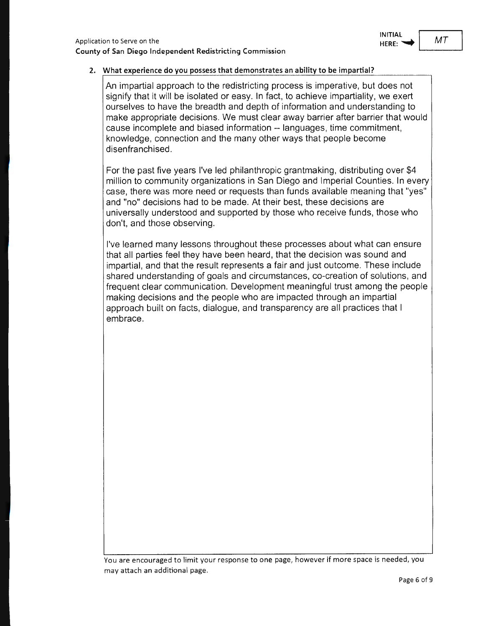

#### **2. What experience do you possess that demonstrates an ability to be impartial?**

An impartial approach to the redistricting process is imperative, but does not signify that it will be isolated or easy. In fact, to achieve impartiality, we exert ourselves to have the breadth and depth of information and understanding to make appropriate decisions. We must clear away barrier after barrier that would cause incomplete and biased information -- languages, time commitment, knowledge, connection and the many other ways that people become disenfranchised.

For the past five years I've led philanthropic grantmaking, distributing over \$4 million to community organizations in San Diego and Imperial Counties. In every case, there was more need or requests than funds available meaning that "yes" and "no" decisions had to be made. At their best, these decisions are universally understood and supported by those who receive funds, those who don't, and those observing.

I've learned many lessons throughout these processes about what can ensure that all parties feel they have been heard, that the decision was sound and impartial, and that the result represents a fair and just outcome. These include shared understanding of goals and circumstances, co-creation of solutions, and frequent clear communication. Development meaningful trust among the people making decisions and the people who are impacted through an impartial approach built on facts, dialogue, and transparency are all practices that I embrace.

You are encouraged to limit your response to one page, however if more space is needed, you may attach an additional page.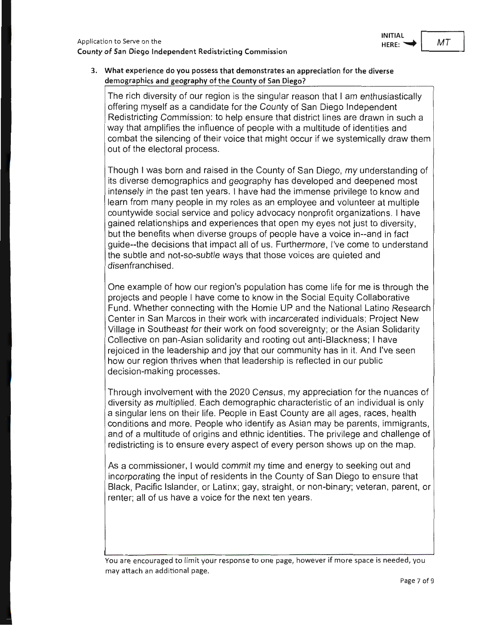

#### **3. What experience do you possess that demonstrates an appreciation for the diverse demographics and geography of the County of San Diego?**

The rich diversity of our region is the singular reason that I am enthusiastically offering myself as a candidate for the County of San Diego Independent Redistricting Commission: to help ensure that district lines are drawn in such a way that amplifies the influence of people with a multitude of identities and combat the silencing of their voice that might occur if we systemically draw them out of the electoral process.

Though I was born and raised in the County of San Diego, my understanding of its diverse demographics and geography has developed and deepened most intensely in the past ten years . I have had the immense privilege to know and learn from many people in my roles as an employee and volunteer at multiple countywide social service and policy advocacy nonprofit organizations. I have gained relationships and experiences that open my eyes not just to diversity, but the benefits when diverse groups of people have a voice in--and in fact guide--the decisions that impact all of us. Furthermore, I've come to understand the subtle and not-so-subtle ways that those voices are quieted and disenfranchised.

One example of how our region's population has come life for me is through the projects and people I have come to know in the Social Equity Collaborative Fund. Whether connecting with the Homie UP and the National Latino Research Center in San Marcos in their work with incarcerated individuals; Project New Village in Southeast for their work on food sovereignty; or the Asian Solidarity Collective on pan-Asian solidarity and rooting out anti-Blackness; I have rejoiced in the leadership and joy that our community has in it. And I've seen how our region thrives when that leadership is reflected in our public decision-making processes.

Through involvement with the 2020 Census, my appreciation for the nuances of diversity as multiplied. Each demographic characteristic of an individual is only a singular lens on their life. People in East County are all ages, races , health conditions and more. People who identify as Asian may be parents, immigrants, and of a multitude of origins and ethnic identities. The privilege and challenge of redistricting is to ensure every aspect of every person shows up on the map.

As a commissioner, I would commit my time and energy to seeking out and incorporating the input of residents in the County of San Diego to ensure that Black, Pacific Islander, or Latinx; gay, straight, or non-binary; veteran, parent, or renter; all of us have a voice for the next ten years.

You are encouraged to limit your response to one page, however if more space is needed, you may attach an additional page.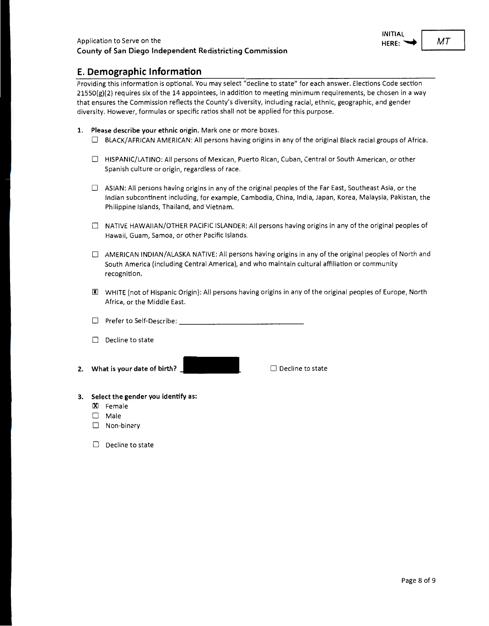**MT** 

#### **E. Demographic Information**

Providing this information is optional. You may select "decline to state" for each answer. Elections Code section 21550{g)(2) requires six of the 14 appointees, in addition to meeting minimum requirements, be chosen in a way that ensures the Commission reflects the County's diversity, including racial, ethnic, geographic, and gender diversity. However, formulas or specific ratios shall not be applied for this purpose.

- **1. Please describe your ethnic origin.** Mark one or more boxes.
	- $\Box$  BLACK/AFRICAN AMERICAN: All persons having origins in any of the original Black racial groups of Africa.
	- 0 HISPANIC/LATINO: All persons of Mexican, Puerto Rican, Cuban, Central or South American, or other Spanish culture or origin, regardless of race.
	- $\Box$  ASIAN: All persons having origins in any of the original peoples of the Far East, Southeast Asia, or the Indian subcontinent including, for example, Cambodia, China, India, Japan, Korea, Malaysia, Pakistan, the Philippine Islands, Thailand, and Vietnam.
	- $\Box$  NATIVE HAWAIIAN/OTHER PACIFIC ISLANDER: All persons having origins in any of the original peoples of Hawaii, Guam, Samoa, or other Pacific Islands.
	- $\Box$  AMERICAN INDIAN/ALASKA NATIVE: All persons having origins in any of the original peoples of North and South America (including Central America), and who maintain cultural affiliation or community recognition.
	- 00 WHITE (not of Hispanic Origin): All persons having origins in any of the original peoples of Europe, North Africa, or the Middle East.
	- $\Box$  Prefer to Self-Describe:
	- $\Box$  Decline to state
- **2. What is your date of birth?**

 $\Box$  Decline to state

- **3. Select the gender you identify as:** 
	- IXl Female
	- □ Male
	- $\square$  Non-binary
	- $\Box$  Decline to state